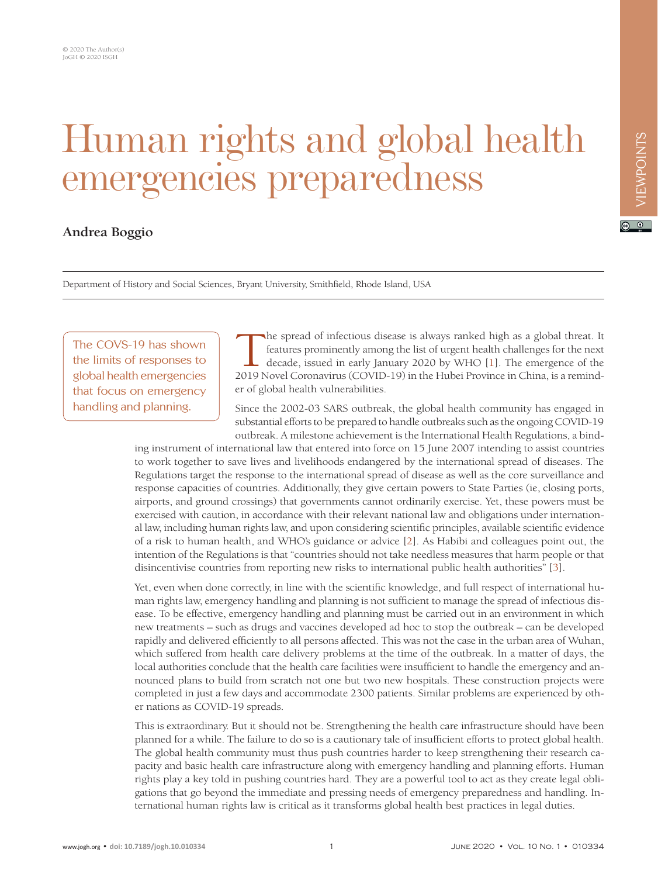## Human rights and global health emergencies preparedness

## **Andrea Boggio**

Department of History and Social Sciences, Bryant University, Smithfield, Rhode Island, USA

The COVS-19 has shown the limits of responses to global health emergencies that focus on emergency handling and planning.

The spread of infectious disease is always ranked high as a global threat. It features prominently among the list of urgent health challenges for the next decade, issued in early January 2020 by WHO [1]. The emergence of the 2019 Novel Coronavirus (COVID-19) in the Hubei Province in China, is a reminder of global health vulnerabilities.

Since the 2002-03 SARS outbreak, the global health community has engaged in substantial efforts to be prepared to handle outbreaks such as the ongoing COVID-19 outbreak. A milestone achievement is the International Health Regulations, a bind-

ing instrument of international law that entered into force on 15 June 2007 intending to assist countries to work together to save lives and livelihoods endangered by the international spread of diseases. The Regulations target the response to the international spread of disease as well as the core surveillance and response capacities of countries. Additionally, they give certain powers to State Parties (ie, closing ports, airports, and ground crossings) that governments cannot ordinarily exercise. Yet, these powers must be exercised with caution, in accordance with their relevant national law and obligations under international law, including human rights law, and upon considering scientific principles, available scientific evidence of a risk to human health, and WHO's guidance or advice [\[2\]](#page-2-1). As Habibi and colleagues point out, the intention of the Regulations is that "countries should not take needless measures that harm people or that disincentivise countries from reporting new risks to international public health authorities" [[3\]](#page-2-2).

Yet, even when done correctly, in line with the scientific knowledge, and full respect of international human rights law, emergency handling and planning is not sufficient to manage the spread of infectious disease. To be effective, emergency handling and planning must be carried out in an environment in which new treatments – such as drugs and vaccines developed ad hoc to stop the outbreak – can be developed rapidly and delivered efficiently to all persons affected. This was not the case in the urban area of Wuhan, which suffered from health care delivery problems at the time of the outbreak. In a matter of days, the local authorities conclude that the health care facilities were insufficient to handle the emergency and announced plans to build from scratch not one but two new hospitals. These construction projects were completed in just a few days and accommodate 2300 patients. Similar problems are experienced by other nations as COVID-19 spreads.

This is extraordinary. But it should not be. Strengthening the health care infrastructure should have been planned for a while. The failure to do so is a cautionary tale of insufficient efforts to protect global health. The global health community must thus push countries harder to keep strengthening their research capacity and basic health care infrastructure along with emergency handling and planning efforts. Human rights play a key told in pushing countries hard. They are a powerful tool to act as they create legal obligations that go beyond the immediate and pressing needs of emergency preparedness and handling. International human rights law is critical as it transforms global health best practices in legal duties.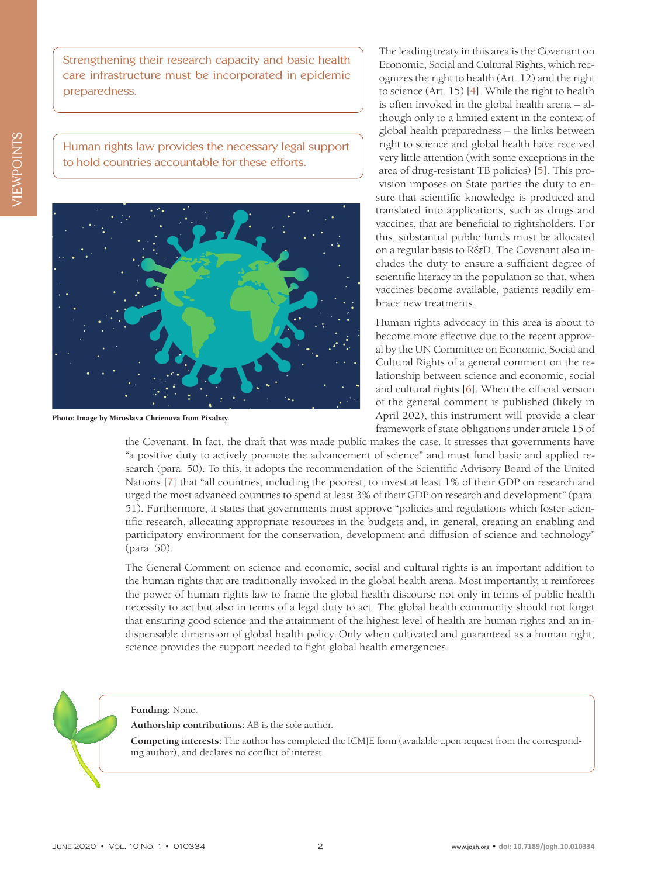Strengthening their research capacity and basic health care infrastructure must be incorporated in epidemic preparedness.

Human rights law provides the necessary legal support to hold countries accountable for these efforts.



Photo: Image by [Miroslava Chrienova](https://pixabay.com/users/MiroslavaChrienova-6238194/?utm_source=link-attribution&utm_medium=referral&utm_campaign=image&utm_content=4948866) from [Pixabay.](https://pixabay.com/?utm_source=link-attribution&utm_medium=referral&utm_campaign=image&utm_content=4948866)

The leading treaty in this area is the Covenant on Economic, Social and Cultural Rights, which recognizes the right to health (Art. 12) and the right to science (Art. 15) [[4\]](#page-2-3). While the right to health is often invoked in the global health arena – although only to a limited extent in the context of global health preparedness – the links between right to science and global health have received very little attention (with some exceptions in the area of drug-resistant TB policies) [[5](#page-2-4)]. This provision imposes on State parties the duty to ensure that scientific knowledge is produced and translated into applications, such as drugs and vaccines, that are beneficial to rightsholders. For this, substantial public funds must be allocated on a regular basis to R&D. The Covenant also includes the duty to ensure a sufficient degree of scientific literacy in the population so that, when vaccines become available, patients readily embrace new treatments.

Human rights advocacy in this area is about to become more effective due to the recent approval by the UN Committee on Economic, Social and Cultural Rights of a general comment on the relationship between science and economic, social and cultural rights [[6](#page-2-5)]. When the official version of the general comment is published (likely in April 202), this instrument will provide a clear framework of state obligations under article 15 of

the Covenant. In fact, the draft that was made public makes the case. It stresses that governments have "a positive duty to actively promote the advancement of science" and must fund basic and applied research (para. 50). To this, it adopts the recommendation of the Scientific Advisory Board of the United Nations [\[7\]](#page-2-6) that "all countries, including the poorest, to invest at least 1% of their GDP on research and urged the most advanced countries to spend at least 3% of their GDP on research and development" (para. 51). Furthermore, it states that governments must approve "policies and regulations which foster scientific research, allocating appropriate resources in the budgets and, in general, creating an enabling and participatory environment for the conservation, development and diffusion of science and technology" (para. 50).

The General Comment on science and economic, social and cultural rights is an important addition to the human rights that are traditionally invoked in the global health arena. Most importantly, it reinforces the power of human rights law to frame the global health discourse not only in terms of public health necessity to act but also in terms of a legal duty to act. The global health community should not forget that ensuring good science and the attainment of the highest level of health are human rights and an indispensable dimension of global health policy. Only when cultivated and guaranteed as a human right, science provides the support needed to fight global health emergencies.

**Funding:** None.

**Authorship contributions:** AB is the sole author.

**Competing interests:** The author has completed the ICMJE form (available upon request from the corresponding author), and declares no conflict of interest.